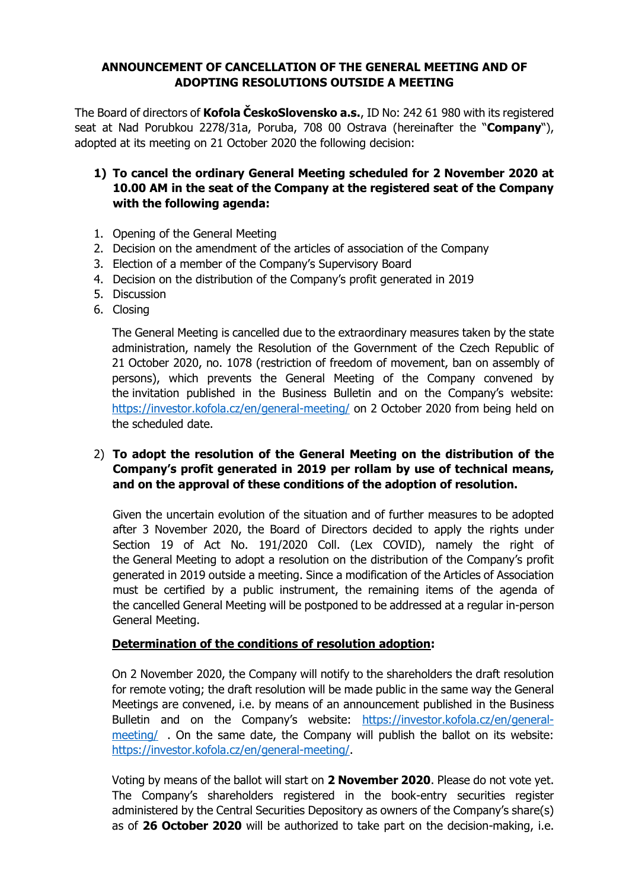## **ANNOUNCEMENT OF CANCELLATION OF THE GENERAL MEETING AND OF ADOPTING RESOLUTIONS OUTSIDE A MEETING**

The Board of directors of **Kofola ČeskoSlovensko a.s.**, ID No: 242 61 980 with its registered seat at Nad Porubkou 2278/31a, Poruba, 708 00 Ostrava (hereinafter the "**Company**"), adopted at its meeting on 21 October 2020 the following decision:

## **1) To cancel the ordinary General Meeting scheduled for 2 November 2020 at 10.00 AM in the seat of the Company at the registered seat of the Company with the following agenda:**

- 1. Opening of the General Meeting
- 2. Decision on the amendment of the articles of association of the Company
- 3. Election of a member of the Company's Supervisory Board
- 4. Decision on the distribution of the Company's profit generated in 2019
- 5. Discussion
- 6. Closing

The General Meeting is cancelled due to the extraordinary measures taken by the state administration, namely the Resolution of the Government of the Czech Republic of 21 October 2020, no. 1078 (restriction of freedom of movement, ban on assembly of persons), which prevents the General Meeting of the Company convened by the invitation published in the Business Bulletin and on the Company's website: <https://investor.kofola.cz/en/general-meeting/> on 2 October 2020 from being held on the scheduled date.

## 2) **To adopt the resolution of the General Meeting on the distribution of the Company's profit generated in 2019 per rollam by use of technical means, and on the approval of these conditions of the adoption of resolution.**

Given the uncertain evolution of the situation and of further measures to be adopted after 3 November 2020, the Board of Directors decided to apply the rights under Section 19 of Act No. 191/2020 Coll. (Lex COVID), namely the right of the General Meeting to adopt a resolution on the distribution of the Company's profit generated in 2019 outside a meeting. Since a modification of the Articles of Association must be certified by a public instrument, the remaining items of the agenda of the cancelled General Meeting will be postponed to be addressed at a regular in-person General Meeting.

## **Determination of the conditions of resolution adoption:**

On 2 November 2020, the Company will notify to the shareholders the draft resolution for remote voting; the draft resolution will be made public in the same way the General Meetings are convened, i.e. by means of an announcement published in the Business Bulletin and on the Company's website: [https://investor.kofola.cz/en/general](https://investor.kofola.cz/en/general-meeting/)[meeting/](https://investor.kofola.cz/en/general-meeting/) . On the same date, the Company will publish the ballot on its website: [https://investor.kofola.cz/en/general-meeting/.](https://investor.kofola.cz/en/general-meeting/)

Voting by means of the ballot will start on **2 November 2020**. Please do not vote yet. The Company's shareholders registered in the book-entry securities register administered by the Central Securities Depository as owners of the Company's share(s) as of **26 October 2020** will be authorized to take part on the decision-making, i.e.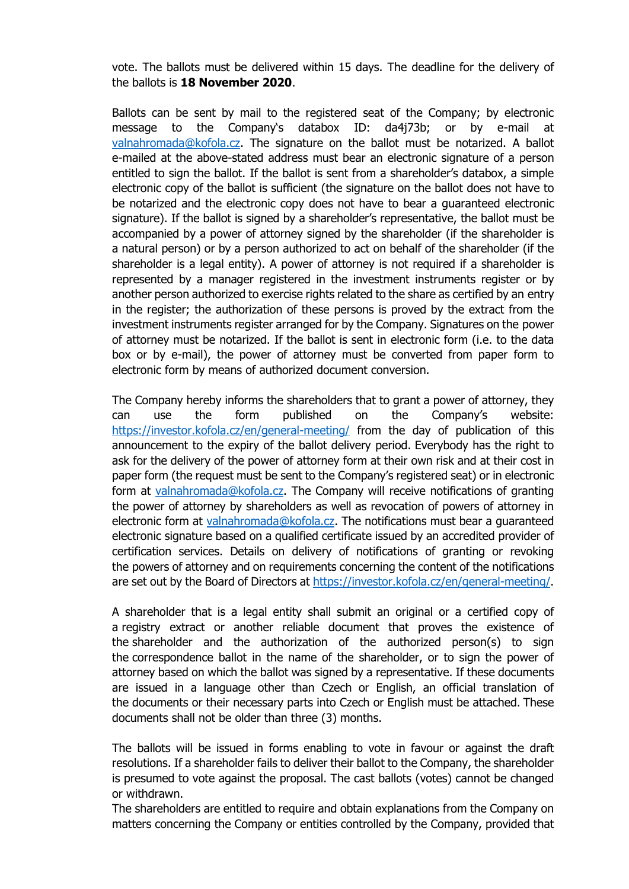vote. The ballots must be delivered within 15 days. The deadline for the delivery of the ballots is **18 November 2020**.

Ballots can be sent by mail to the registered seat of the Company; by electronic message to the Company's databox ID: da4j73b; or by e-mail at [valnahromada@kofola.cz.](mailto:valnahromada@kofola.cz) The signature on the ballot must be notarized. A ballot e-mailed at the above-stated address must bear an electronic signature of a person entitled to sign the ballot. If the ballot is sent from a shareholder's databox, a simple electronic copy of the ballot is sufficient (the signature on the ballot does not have to be notarized and the electronic copy does not have to bear a guaranteed electronic signature). If the ballot is signed by a shareholder's representative, the ballot must be accompanied by a power of attorney signed by the shareholder (if the shareholder is a natural person) or by a person authorized to act on behalf of the shareholder (if the shareholder is a legal entity). A power of attorney is not required if a shareholder is represented by a manager registered in the investment instruments register or by another person authorized to exercise rights related to the share as certified by an entry in the register; the authorization of these persons is proved by the extract from the investment instruments register arranged for by the Company. Signatures on the power of attorney must be notarized. If the ballot is sent in electronic form (i.e. to the data box or by e-mail), the power of attorney must be converted from paper form to electronic form by means of authorized document conversion.

The Company hereby informs the shareholders that to grant a power of attorney, they can use the form published on the Company's website: <https://investor.kofola.cz/en/general-meeting/> from the day of publication of this announcement to the expiry of the ballot delivery period. Everybody has the right to ask for the delivery of the power of attorney form at their own risk and at their cost in paper form (the request must be sent to the Company's registered seat) or in electronic form at [valnahromada@kofola.cz.](mailto:valnahromada@kofola.cz) The Company will receive notifications of granting the power of attorney by shareholders as well as revocation of powers of attorney in electronic form at [valnahromada@kofola.cz.](mailto:valnahromada@kofola.cz) The notifications must bear a guaranteed electronic signature based on a qualified certificate issued by an accredited provider of certification services. Details on delivery of notifications of granting or revoking the powers of attorney and on requirements concerning the content of the notifications are set out by the Board of Directors at [https://investor.kofola.cz/en/general-meeting/.](https://investor.kofola.cz/en/general-meeting/)

A shareholder that is a legal entity shall submit an original or a certified copy of a registry extract or another reliable document that proves the existence of the shareholder and the authorization of the authorized person(s) to sign the correspondence ballot in the name of the shareholder, or to sign the power of attorney based on which the ballot was signed by a representative. If these documents are issued in a language other than Czech or English, an official translation of the documents or their necessary parts into Czech or English must be attached. These documents shall not be older than three (3) months.

The ballots will be issued in forms enabling to vote in favour or against the draft resolutions. If a shareholder fails to deliver their ballot to the Company, the shareholder is presumed to vote against the proposal. The cast ballots (votes) cannot be changed or withdrawn.

The shareholders are entitled to require and obtain explanations from the Company on matters concerning the Company or entities controlled by the Company, provided that